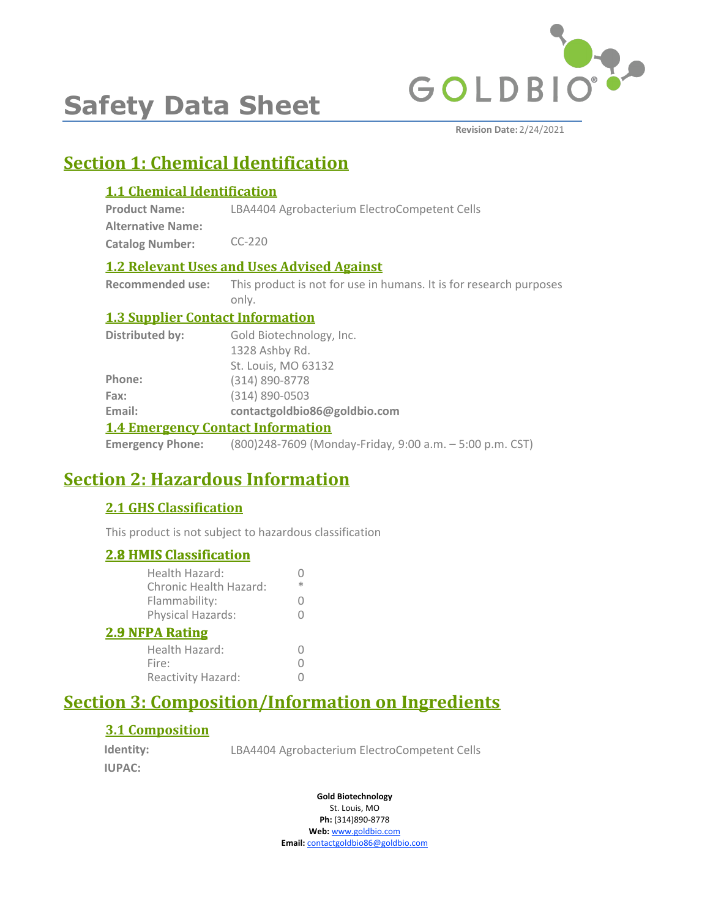

# **Safety Data Sheet**

**Revision Date:** 2/24/2021

# **Section 1: Chemical Identification**

# **1.1 Chemical Identification**

| <b>Product Name:</b>     | LBA4404 Agrobacterium ElectroCompetent Cells |
|--------------------------|----------------------------------------------|
| <b>Alternative Name:</b> |                                              |
| <b>Catalog Number:</b>   | $CC-220$                                     |

# **1.2 Relevant Uses and Uses Advised Against**

**Recommended use:** This product is not for use in humans. It is for research purposes only.

# **1.3 Supplier Contact Information**

| Distributed by:                          | Gold Biotechnology, Inc.     |  |
|------------------------------------------|------------------------------|--|
|                                          | 1328 Ashby Rd.               |  |
|                                          | St. Louis, MO 63132          |  |
| Phone:                                   | (314) 890-8778               |  |
| Fax:                                     | (314) 890-0503               |  |
| Email:                                   | contactgoldbio86@goldbio.com |  |
| <b>1.4 Emergency Contact Information</b> |                              |  |

**Emergency Phone:** (800)248-7609 (Monday-Friday, 9:00 a.m. – 5:00 p.m. CST)

# **Section 2: Hazardous Information**

# **2.1 GHS Classification**

This product is not subject to hazardous classification

# **2.8 HMIS Classification**

| <u><b>2.8 HMIS Classification</b></u>    |   |
|------------------------------------------|---|
| Health Hazard:<br>Chronic Health Hazard: | ж |
| Flammability:                            |   |
| Physical Hazards:                        | 0 |
| <b>2.9 NFPA Rating</b>                   |   |
| Health Hazard:                           |   |
| Fire:                                    |   |
| Reactivity Hazard:                       |   |
|                                          |   |

# **Section 3: Composition/Information on Ingredients**

# **3.1 Composition**

**Identity: IUPAC:**

LBA4404 Agrobacterium ElectroCompetent Cells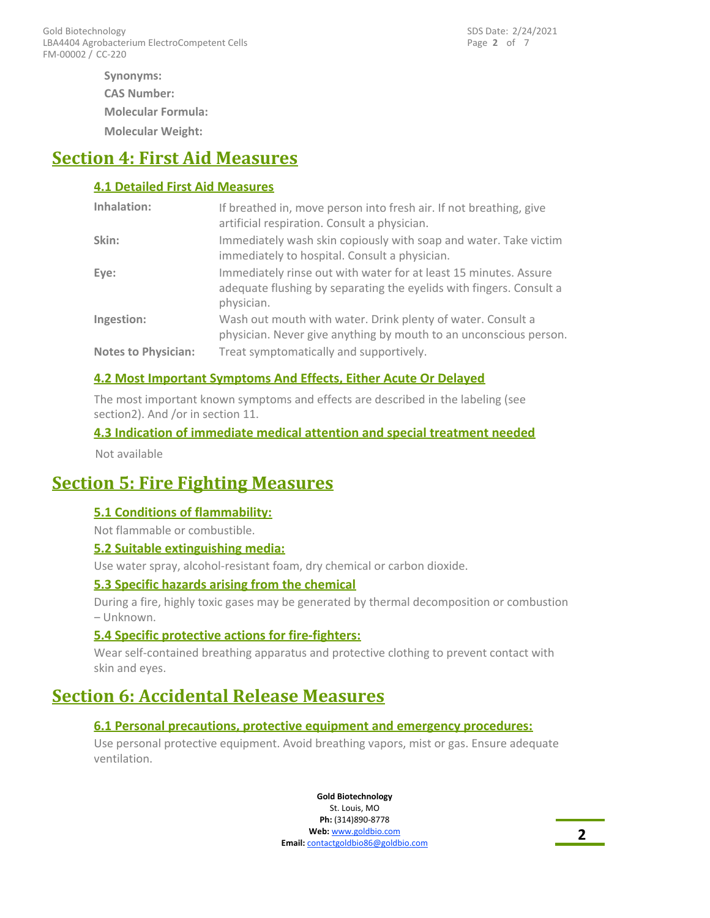**Molecular Weight: Synonyms: CAS Number: Molecular Formula:**

# **Section 4: First Aid Measures**

### **4.1 Detailed First Aid Measures**

| Inhalation:                | If breathed in, move person into fresh air. If not breathing, give<br>artificial respiration. Consult a physician.                                    |
|----------------------------|-------------------------------------------------------------------------------------------------------------------------------------------------------|
| Skin:                      | Immediately wash skin copiously with soap and water. Take victim<br>immediately to hospital. Consult a physician.                                     |
| Eye:                       | Immediately rinse out with water for at least 15 minutes. Assure<br>adequate flushing by separating the eyelids with fingers. Consult a<br>physician. |
| Ingestion:                 | Wash out mouth with water. Drink plenty of water. Consult a<br>physician. Never give anything by mouth to an unconscious person.                      |
| <b>Notes to Physician:</b> | Treat symptomatically and supportively.                                                                                                               |

### **4.2 Most Important Symptoms And Effects, Either Acute Or Delayed**

The most important known symptoms and effects are described in the labeling (see section2). And /or in section 11.

### **4.3 Indication of immediate medical attention and special treatment needed**

Not available

# **Section 5: Fire Fighting Measures**

### **5.1 Conditions of flammability:**

Not flammable or combustible.

#### **5.2 Suitable extinguishing media:**

Use water spray, alcohol-resistant foam, dry chemical or carbon dioxide.

#### **5.3 Specific hazards arising from the chemical**

During a fire, highly toxic gases may be generated by thermal decomposition or combustion – Unknown.

### **5.4 Specific protective actions for fire-fighters:**

Wear self-contained breathing apparatus and protective clothing to prevent contact with skin and eyes.

# **Section 6: Accidental Release Measures**

### **6.1 Personal precautions, protective equipment and emergency procedures:**

Use personal protective equipment. Avoid breathing vapors, mist or gas. Ensure adequate ventilation.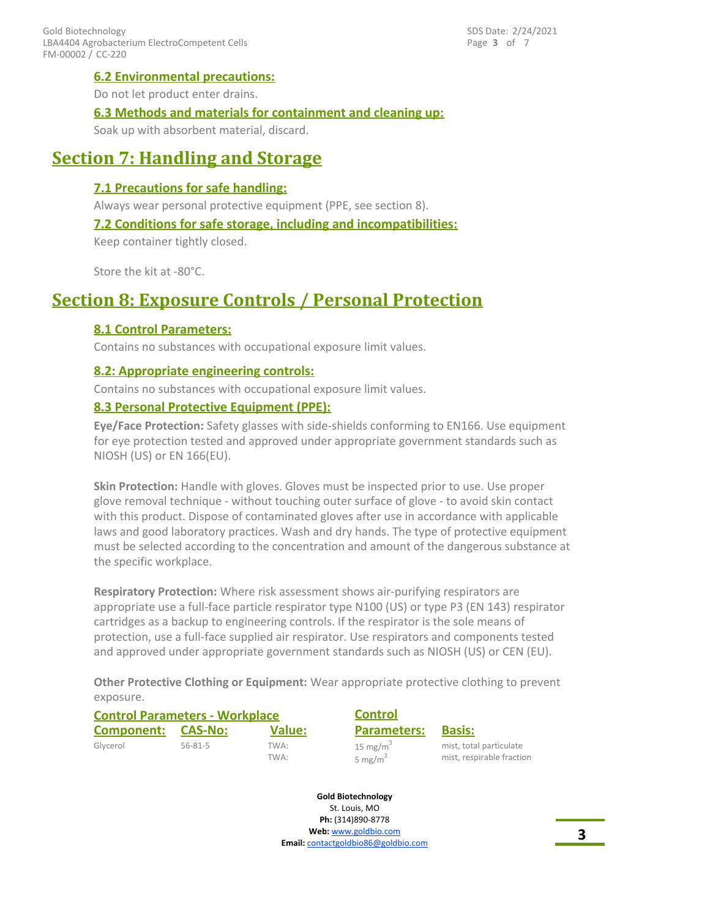### **6.2 Environmental precautions:**

Do not let product enter drains.

### **6.3 Methods and materials for containment and cleaning up:**

Soak up with absorbent material, discard.

# **Section 7: Handling and Storage**

### **7.1 Precautions for safe handling:**

Always wear personal protective equipment (PPE, see section 8).

#### **7.2 Conditions for safe storage, including and incompatibilities:**

Keep container tightly closed.

Store the kit at -80°C.

# **Section 8: Exposure Controls / Personal Protection**

### **8.1 Control Parameters:**

Contains no substances with occupational exposure limit values.

### **8.2: Appropriate engineering controls:**

Contains no substances with occupational exposure limit values.

### **8.3 Personal Protective Equipment (PPE):**

**Eye/Face Protection:** Safety glasses with side-shields conforming to EN166. Use equipment for eye protection tested and approved under appropriate government standards such as NIOSH (US) or EN 166(EU).

**Skin Protection:** Handle with gloves. Gloves must be inspected prior to use. Use proper glove removal technique - without touching outer surface of glove - to avoid skin contact with this product. Dispose of contaminated gloves after use in accordance with applicable laws and good laboratory practices. Wash and dry hands. The type of protective equipment must be selected according to the concentration and amount of the dangerous substance at the specific workplace.

**Respiratory Protection:** Where risk assessment shows air-purifying respirators are appropriate use a full-face particle respirator type N100 (US) or type P3 (EN 143) respirator cartridges as a backup to engineering controls. If the respirator is the sole means of protection, use a full-face supplied air respirator. Use respirators and components tested and approved under appropriate government standards such as NIOSH (US) or CEN (EU).

**Other Protective Clothing or Equipment:** Wear appropriate protective clothing to prevent exposure.

| <b>Control Parameters - Workplace</b> |               | <b>Control</b> |                                    |                                                      |
|---------------------------------------|---------------|----------------|------------------------------------|------------------------------------------------------|
| Component:                            | CAS-No:       | <b>Value:</b>  | <b>Parameters:</b>                 | <b>Basis:</b>                                        |
| Glycerol                              | $56 - 81 - 5$ | TWA:<br>TWA:   | 15 mg/m <sup>3</sup><br>5 mg/m $3$ | mist, total particulate<br>mist, respirable fraction |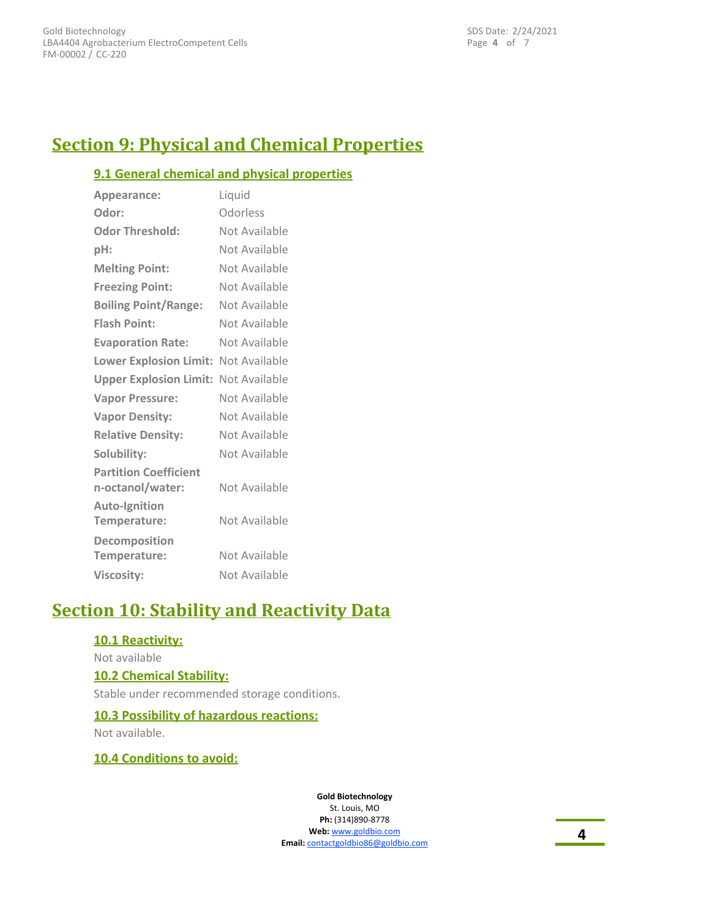Page **4** of 7 SDS Date: 2/24/2021

# **Section 9: Physical and Chemical Properties**

### **9.1 General chemical and physical properties**

| Appearance:                                      | Liquid        |
|--------------------------------------------------|---------------|
| Odor:                                            | Odorless      |
| <b>Odor Threshold:</b>                           | Not Available |
| pH:                                              | Not Available |
| <b>Melting Point:</b>                            | Not Available |
| <b>Freezing Point:</b>                           | Not Available |
| <b>Boiling Point/Range:</b>                      | Not Available |
| <b>Flash Point:</b>                              | Not Available |
| <b>Evaporation Rate:</b>                         | Not Available |
| Lower Explosion Limit: Not Available             |               |
| <b>Upper Explosion Limit: Not Available</b>      |               |
| <b>Vapor Pressure:</b>                           | Not Available |
| <b>Vapor Density:</b>                            | Not Available |
| <b>Relative Density:</b>                         | Not Available |
| Solubility:                                      | Not Available |
| <b>Partition Coefficient</b><br>n-octanol/water: | Not Available |
| <b>Auto-Ignition</b><br>Temperature:             | Not Available |
| Decomposition<br>Temperature:                    | Not Available |
| <b>Viscosity:</b>                                | Not Available |

# **Section 10: Stability and Reactivity Data**

### **10.1 Reactivity:**

#### Not available

#### **10.2 Chemical Stability:**

Stable under recommended storage conditions.

#### **10.3 Possibility of hazardous reactions:**

Not available.

### **10.4 Conditions to avoid:**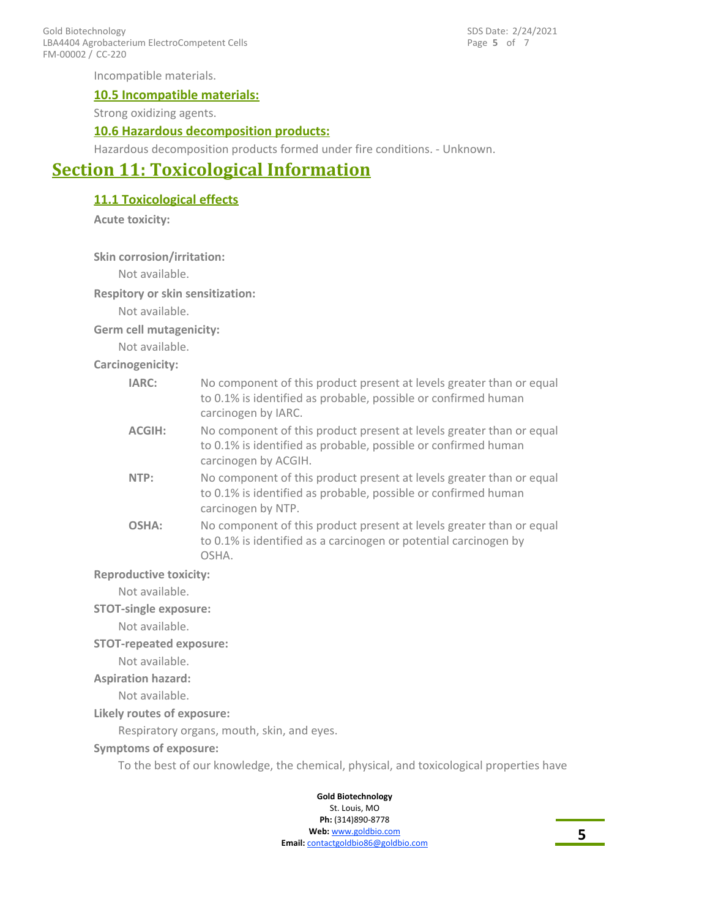FM-00002 / CC-220 Gold Biotechnology LBA4404 Agrobacterium ElectroCompetent Cells Page **5** of 7 SDS Date: 2/24/2021

Incompatible materials.

#### **10.5 Incompatible materials:**

Strong oxidizing agents.

#### **10.6 Hazardous decomposition products:**

Hazardous decomposition products formed under fire conditions. - Unknown.

# **Section 11: Toxicological Information**

**11.1 Toxicological effects**

**Acute toxicity:**

**Skin corrosion/irritation:**

Not available.

**Respitory or skin sensitization:**

Not available.

**Germ cell mutagenicity:**

Not available.

**Carcinogenicity:**

| IARC:                         | No component of this product present at levels greater than or equal<br>to 0.1% is identified as probable, possible or confirmed human<br>carcinogen by IARC.  |
|-------------------------------|----------------------------------------------------------------------------------------------------------------------------------------------------------------|
| <b>ACGIH:</b>                 | No component of this product present at levels greater than or equal<br>to 0.1% is identified as probable, possible or confirmed human<br>carcinogen by ACGIH. |
| NTP:                          | No component of this product present at levels greater than or equal<br>to 0.1% is identified as probable, possible or confirmed human<br>carcinogen by NTP.   |
| OSHA:                         | No component of this product present at levels greater than or equal<br>to 0.1% is identified as a carcinogen or potential carcinogen by<br>OSHA.              |
| <b>Reproductive toxicity:</b> |                                                                                                                                                                |
| Not available                 |                                                                                                                                                                |

Not available.

**STOT-single exposure:**

Not available.

#### **STOT-repeated exposure:**

Not available.

#### **Aspiration hazard:**

Not available.

#### **Likely routes of exposure:**

Respiratory organs, mouth, skin, and eyes.

#### **Symptoms of exposure:**

To the best of our knowledge, the chemical, physical, and toxicological properties have

#### **Gold Biotechnology** St. Louis, MO

**Ph:** (314)890-8778 **Web:** www.goldbio.com

**Email:** contactgoldbio86@goldbio.com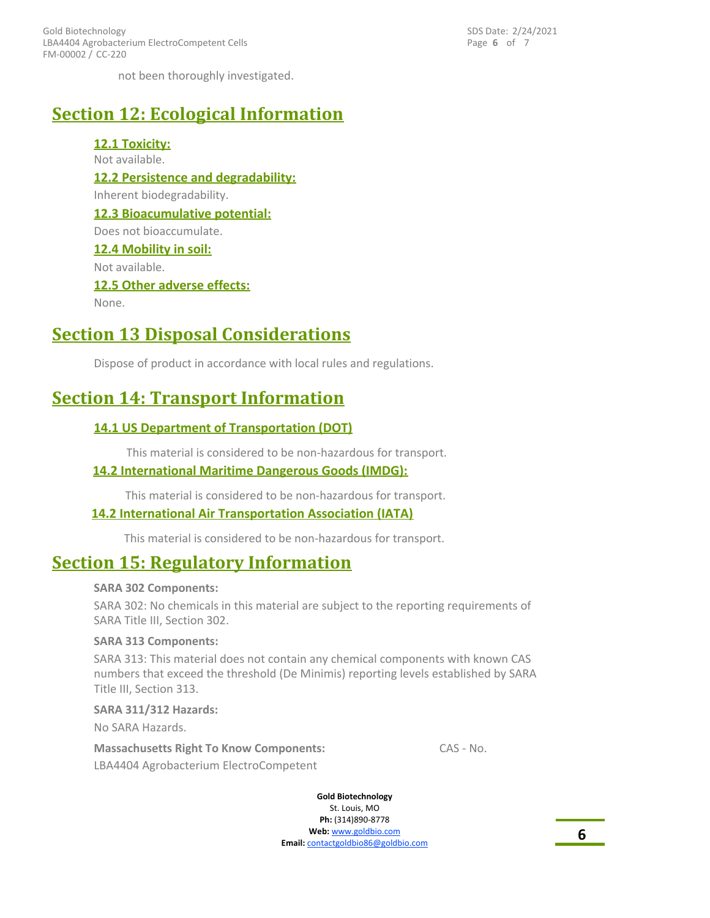FM-00002 / CC-220 Gold Biotechnology LBA4404 Agrobacterium ElectroCompetent Cells Page **6** of 7 SDS Date: 2/24/2021

not been thoroughly investigated.

# **Section 12: Ecological Information**

**12.1 Toxicity:** Not available. **12.2 Persistence and degradability:** Inherent biodegradability. **12.3 Bioacumulative potential:** Does not bioaccumulate. **12.4 Mobility in soil:** Not available. **12.5 Other adverse effects:** None.

# **Section 13 Disposal Considerations**

Dispose of product in accordance with local rules and regulations.

# **Section 14: Transport Information**

### **14.1 US Department of Transportation (DOT)**

This material is considered to be non-hazardous for transport.

### **14.2 International Maritime Dangerous Goods (IMDG):**

This material is considered to be non-hazardous for transport.

#### **14.2 International Air Transportation Association (IATA)**

This material is considered to be non-hazardous for transport.

# **Section 15: Regulatory Information**

#### **SARA 302 Components:**

SARA 302: No chemicals in this material are subject to the reporting requirements of SARA Title III, Section 302.

#### **SARA 313 Components:**

SARA 313: This material does not contain any chemical components with known CAS numbers that exceed the threshold (De Minimis) reporting levels established by SARA Title III, Section 313.

#### **SARA 311/312 Hazards:**

No SARA Hazards.

LBA4404 Agrobacterium ElectroCompetent **Massachusetts Right To Know Components:** CAS - No.